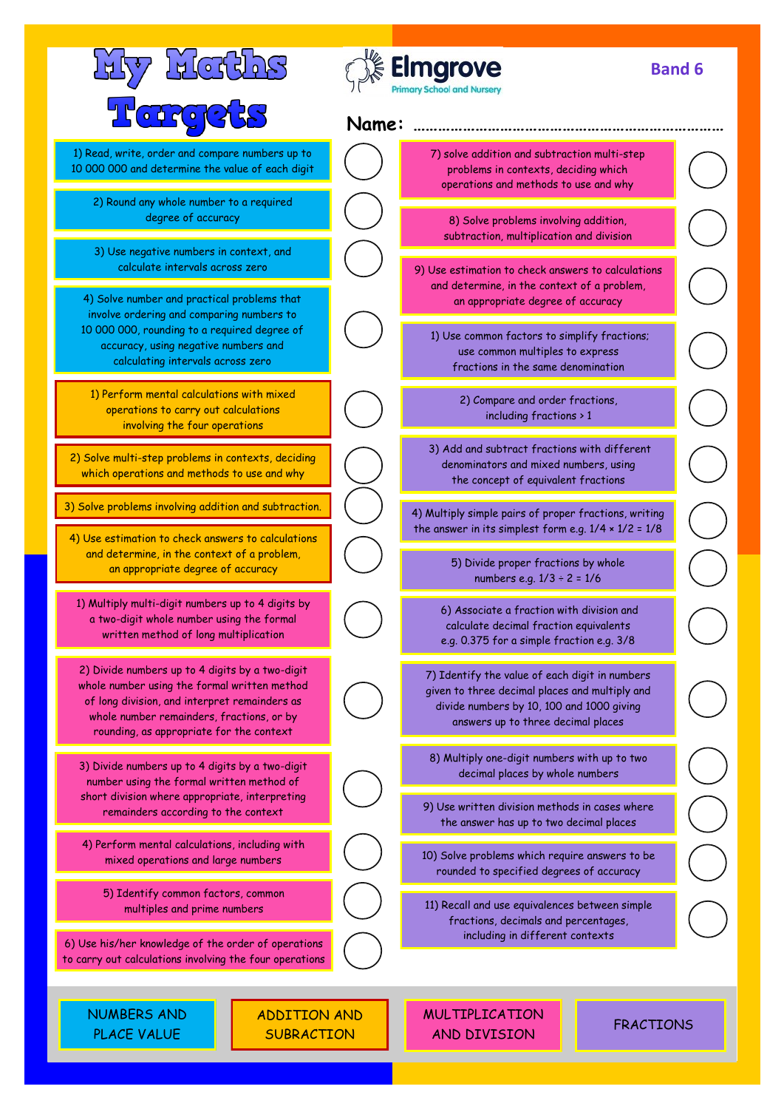| <u>FREERIJS</u>                                                                                                                                                                                                                           |  | <b>Elmgrove</b><br><b>Primary School and Nursery</b>                                                                                                                                |                  | <b>Band 6</b> |  |
|-------------------------------------------------------------------------------------------------------------------------------------------------------------------------------------------------------------------------------------------|--|-------------------------------------------------------------------------------------------------------------------------------------------------------------------------------------|------------------|---------------|--|
| Terceks<br>Name:                                                                                                                                                                                                                          |  |                                                                                                                                                                                     |                  |               |  |
| 1) Read, write, order and compare numbers up to<br>10 000 000 and determine the value of each digit                                                                                                                                       |  | 7) solve addition and subtraction multi-step<br>problems in contexts, deciding which<br>operations and methods to use and why                                                       |                  |               |  |
| 2) Round any whole number to a required<br>degree of accuracy                                                                                                                                                                             |  | 8) Solve problems involving addition,<br>subtraction, multiplication and division                                                                                                   |                  |               |  |
| 3) Use negative numbers in context, and<br>calculate intervals across zero<br>4) Solve number and practical problems that                                                                                                                 |  | 9) Use estimation to check answers to calculations<br>and determine, in the context of a problem,<br>an appropriate degree of accuracy                                              |                  |               |  |
| involve ordering and comparing numbers to<br>10 000 000, rounding to a required degree of<br>accuracy, using negative numbers and<br>calculating intervals across zero                                                                    |  | 1) Use common factors to simplify fractions;<br>use common multiples to express<br>fractions in the same denomination                                                               |                  |               |  |
| 1) Perform mental calculations with mixed<br>operations to carry out calculations<br>involving the four operations                                                                                                                        |  | 2) Compare and order fractions,<br>including fractions > 1                                                                                                                          |                  |               |  |
| 2) Solve multi-step problems in contexts, deciding<br>which operations and methods to use and why                                                                                                                                         |  | 3) Add and subtract fractions with different<br>denominators and mixed numbers, using<br>the concept of equivalent fractions                                                        |                  |               |  |
| 3) Solve problems involving addition and subtraction.<br>4) Use estimation to check answers to calculations                                                                                                                               |  | 4) Multiply simple pairs of proper fractions, writing<br>the answer in its simplest form e.g. $1/4 \times 1/2 = 1/8$                                                                |                  |               |  |
| and determine, in the context of a problem,<br>an appropriate degree of accuracy                                                                                                                                                          |  | 5) Divide proper fractions by whole<br>numbers e.g. $1/3 \div 2 = 1/6$                                                                                                              |                  |               |  |
| 1) Multiply multi-digit numbers up to 4 digits by<br>a two-digit whole number using the formal<br>written method of long multiplication                                                                                                   |  | 6) Associate a fraction with division and<br>calculate decimal fraction equivalents<br>e.g. 0.375 for a simple fraction e.g. 3/8                                                    |                  |               |  |
| 2) Divide numbers up to 4 digits by a two-digit<br>whole number using the formal written method<br>of long division, and interpret remainders as<br>whole number remainders, fractions, or by<br>rounding, as appropriate for the context |  | 7) Identify the value of each digit in numbers<br>given to three decimal places and multiply and<br>divide numbers by 10, 100 and 1000 giving<br>answers up to three decimal places |                  |               |  |
| 3) Divide numbers up to 4 digits by a two-digit<br>number using the formal written method of                                                                                                                                              |  | 8) Multiply one-digit numbers with up to two<br>decimal places by whole numbers                                                                                                     |                  |               |  |
| short division where appropriate, interpreting<br>remainders according to the context                                                                                                                                                     |  | 9) Use written division methods in cases where<br>the answer has up to two decimal places                                                                                           |                  |               |  |
| 4) Perform mental calculations, including with<br>mixed operations and large numbers                                                                                                                                                      |  | 10) Solve problems which require answers to be<br>rounded to specified degrees of accuracy                                                                                          |                  |               |  |
| 5) Identify common factors, common<br>multiples and prime numbers                                                                                                                                                                         |  | 11) Recall and use equivalences between simple<br>fractions, decimals and percentages,                                                                                              |                  |               |  |
| 6) Use his/her knowledge of the order of operations<br>to carry out calculations involving the four operations                                                                                                                            |  | including in different contexts                                                                                                                                                     |                  |               |  |
| <b>NUMBERS AND</b><br>ADDITION AND<br>PLACE VALUE<br><b>SUBRACTION</b>                                                                                                                                                                    |  | <b>MULTIPLICATION</b><br>AND DIVISION                                                                                                                                               | <b>FRACTIONS</b> |               |  |